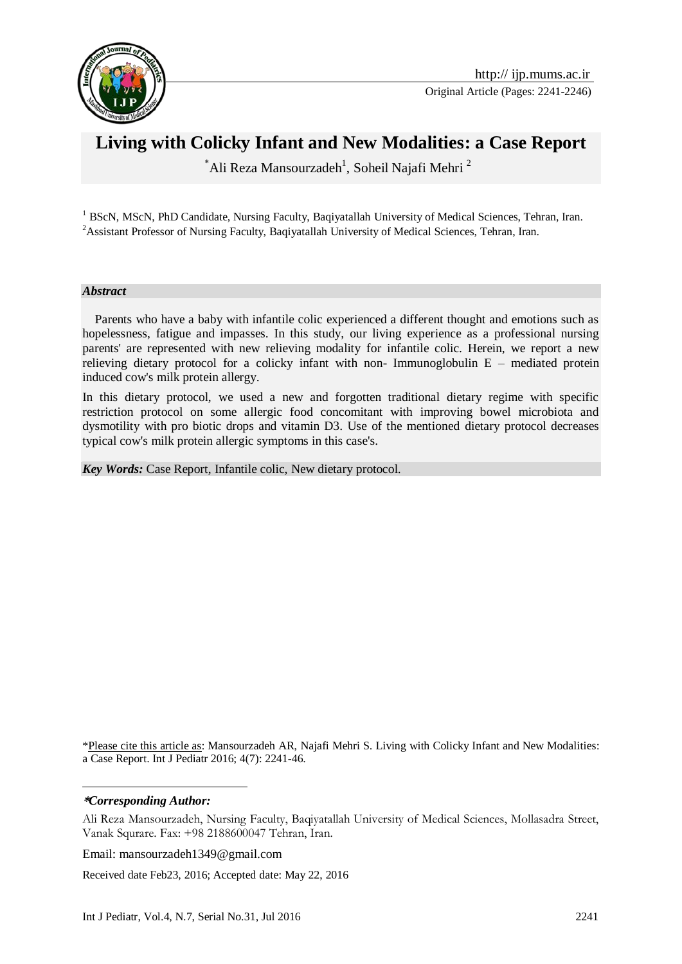

# **Living with Colicky Infant and New Modalities: a Case Report**

 $\Delta$ ali Reza Mansourzadeh<sup>1</sup>, Soheil Najafi Mehri<sup>2</sup>

<sup>1</sup> BScN, MScN, PhD Candidate, Nursing Faculty, Baqiyatallah University of Medical Sciences, Tehran, Iran. <sup>2</sup>Assistant Professor of Nursing Faculty, Baqiyatallah University of Medical Sciences, Tehran, Iran.

#### *Abstract*

 Parents who have a baby with infantile colic experienced a different thought and emotions such as hopelessness, fatigue and impasses. In this study, our living experience as a professional nursing parents' are represented with new relieving modality for infantile colic. Herein, we report a new relieving dietary protocol for a colicky infant with non- Immunoglobulin  $E$  – mediated protein induced cow's milk protein allergy.

In this dietary protocol, we used a new and forgotten traditional dietary regime with specific restriction protocol on some allergic food concomitant with improving bowel microbiota and dysmotility with pro biotic drops and vitamin D3. Use of the mentioned dietary protocol decreases typical cow's milk protein allergic symptoms in this case's.

*Key Words:* Case Report, Infantile colic, New dietary protocol.

\*Please cite this article as: Mansourzadeh AR, Najafi Mehri S. Living with Colicky Infant and New Modalities: a Case Report. Int J Pediatr 2016; 4(7): 2241-46.

**\****Corresponding Author:*

1

Ali Reza Mansourzadeh, Nursing Faculty, Baqiyatallah University of Medical Sciences, Mollasadra Street, Vanak Squrare. Fax: +98 2188600047 Tehran, Iran.

Email: mansourzadeh1349@gmail.com

Received date Feb23, 2016; Accepted date: May 22, 2016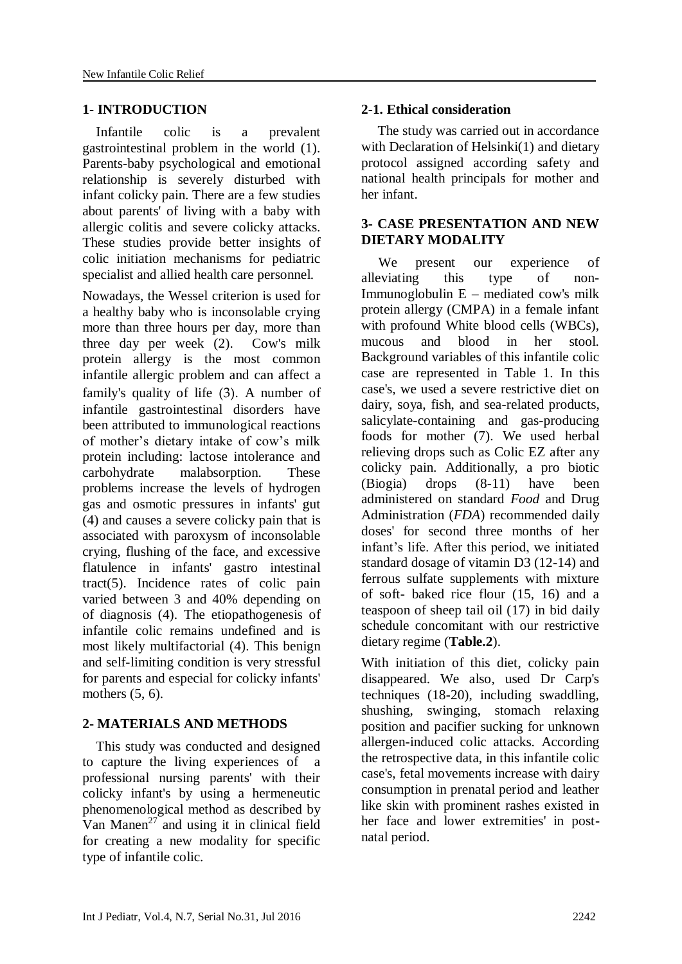### **1- INTRODUCTION**

 Infantile colic is a prevalent gastrointestinal problem in the world (1). Parents-baby psychological and emotional relationship is severely disturbed with infant colicky pain. There are a few studies about parents' of living with a baby with allergic colitis and severe colicky attacks. These studies provide better insights of colic initiation mechanisms for pediatric specialist and allied health care personnel.

Nowadays, the Wessel criterion is used for a healthy baby who is inconsolable crying more than three hours per day, more than three day per week (2). Cow's milk protein allergy is the most common infantile allergic problem and can affect a family's quality of life (3). A number of infantile gastrointestinal disorders have been attributed to immunological reactions of mother's dietary intake of cow's milk protein including: lactose intolerance and carbohydrate malabsorption. These problems increase the levels of hydrogen gas and osmotic pressures in infants' gut (4) and causes a severe colicky pain that is associated with paroxysm of inconsolable crying, flushing of the face, and excessive flatulence in infants' gastro intestinal tract(5). Incidence rates of colic pain varied between 3 and 40% depending on of diagnosis (4). The etiopathogenesis of infantile colic remains undefined and is most likely multifactorial (4). This benign and self-limiting condition is very stressful for parents and especial for colicky infants' mothers (5, 6).

## **2- MATERIALS AND METHODS**

 This study was conducted and designed to capture the living experiences of a professional nursing parents' with their colicky infant's by using a hermeneutic phenomenological method as described by Van Manen<sup>27</sup> and using it in clinical field for creating a new modality for specific type of infantile colic.

#### **2-1. Ethical consideration**

The study was carried out in accordance with Declaration of Helsinki(1) and dietary protocol assigned according safety and national health principals for mother and her infant.

## **3- CASE PRESENTATION AND NEW DIETARY MODALITY**

 We present our experience of alleviating this type of non-Immunoglobulin E – mediated cow's milk protein allergy (CMPA) in a female infant with profound White blood cells (WBCs), mucous and blood in her stool. Background variables of this infantile colic case are represented in Table 1. In this case's, we used a severe restrictive diet on dairy, soya, fish, and sea-related products, salicylate-containing and gas-producing foods for mother (7). We used herbal relieving drops such as Colic EZ after any colicky pain. Additionally, a pro biotic (Biogia) drops (8-11) have been administered on standard *Food* and Drug Administration (*FDA*) recommended daily doses' for second three months of her infant's life. After this period, we initiated standard dosage of vitamin D3 (12-14) and ferrous sulfate supplements with mixture of soft- baked rice flour (15, 16) and a teaspoon of sheep tail oil (17) in bid daily schedule concomitant with our restrictive dietary regime (**Table.2**).

With initiation of this diet, colicky pain disappeared. We also, used Dr Carp's techniques (18-20), including swaddling, shushing, swinging, stomach relaxing position and pacifier sucking for unknown allergen-induced colic attacks. According the retrospective data, in this infantile colic case's, fetal movements increase with dairy consumption in prenatal period and leather like skin with prominent rashes existed in her face and lower extremities' in postnatal period.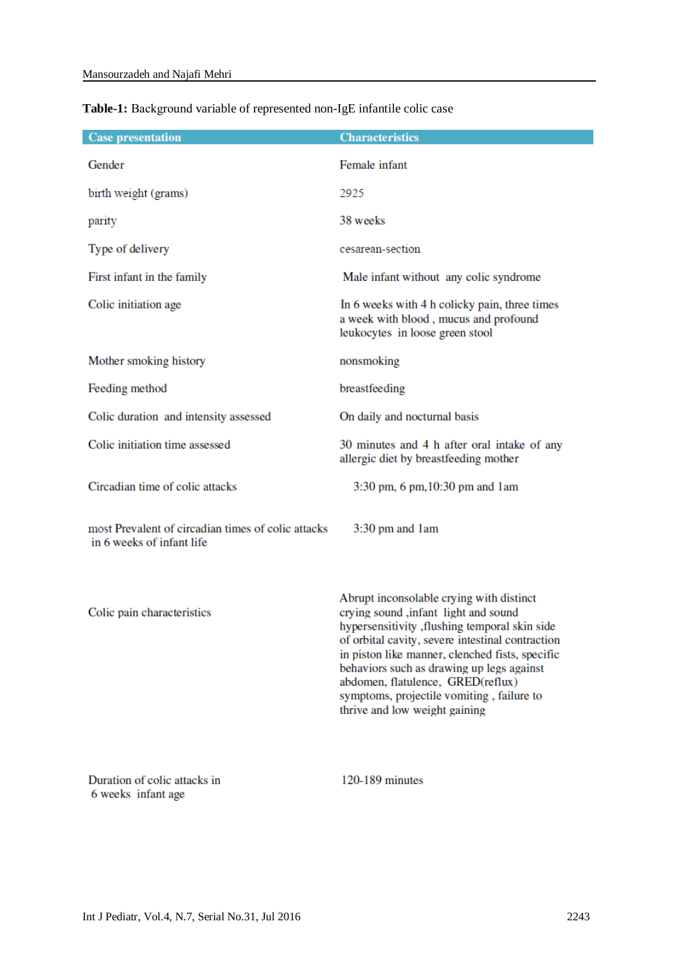| <b>Case presentation</b>                                                        | <b>Characteristics</b>                                                                                                                                                                                                                                                                                                                                                                                    |  |  |
|---------------------------------------------------------------------------------|-----------------------------------------------------------------------------------------------------------------------------------------------------------------------------------------------------------------------------------------------------------------------------------------------------------------------------------------------------------------------------------------------------------|--|--|
| Gender                                                                          | Female infant                                                                                                                                                                                                                                                                                                                                                                                             |  |  |
| birth weight (grams)                                                            | 2925                                                                                                                                                                                                                                                                                                                                                                                                      |  |  |
| parity                                                                          | 38 weeks                                                                                                                                                                                                                                                                                                                                                                                                  |  |  |
| Type of delivery                                                                | cesarean-section                                                                                                                                                                                                                                                                                                                                                                                          |  |  |
| First infant in the family                                                      | Male infant without any colic syndrome                                                                                                                                                                                                                                                                                                                                                                    |  |  |
| Colic initiation age                                                            | In 6 weeks with 4 h colicky pain, three times<br>a week with blood, mucus and profound<br>leukocytes in loose green stool                                                                                                                                                                                                                                                                                 |  |  |
| Mother smoking history                                                          | nonsmoking                                                                                                                                                                                                                                                                                                                                                                                                |  |  |
| Feeding method                                                                  | breastfeeding                                                                                                                                                                                                                                                                                                                                                                                             |  |  |
| Colic duration and intensity assessed                                           | On daily and nocturnal basis                                                                                                                                                                                                                                                                                                                                                                              |  |  |
| Colic initiation time assessed                                                  | 30 minutes and 4 h after oral intake of any<br>allergic diet by breastfeeding mother                                                                                                                                                                                                                                                                                                                      |  |  |
| Circadian time of colic attacks                                                 | 3:30 pm, 6 pm, 10:30 pm and 1 am                                                                                                                                                                                                                                                                                                                                                                          |  |  |
| most Prevalent of circadian times of colic attacks<br>in 6 weeks of infant life | $3:30$ pm and $1am$                                                                                                                                                                                                                                                                                                                                                                                       |  |  |
| Colic pain characteristics                                                      | Abrupt inconsolable crying with distinct<br>crying sound ,infant light and sound<br>hypersensitivity , flushing temporal skin side<br>of orbital cavity, severe intestinal contraction<br>in piston like manner, clenched fists, specific<br>behaviors such as drawing up legs against<br>abdomen, flatulence, GRED(reflux)<br>symptoms, projectile vomiting, failure to<br>thrive and low weight gaining |  |  |

## Table-1: Background variable of represented non-IgE infantile colic case

Duration of colic attacks in 6 weeks infant age

120-189 minutes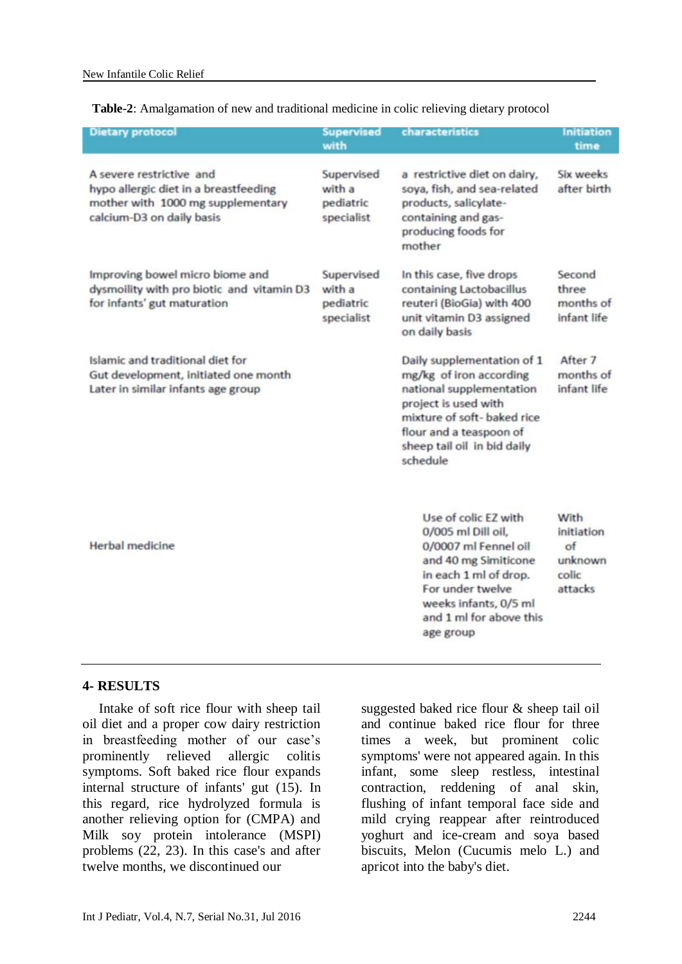**Table-2**: Amalgamation of new and traditional medicine in colic relieving dietary protocol

| <b>Dietary protocol</b>                                                                                                             | <b>Supervised</b><br>with                       | characteristics                                                                                                                                                                                                | <b>Initiation</b><br>time                                                  |
|-------------------------------------------------------------------------------------------------------------------------------------|-------------------------------------------------|----------------------------------------------------------------------------------------------------------------------------------------------------------------------------------------------------------------|----------------------------------------------------------------------------|
| A severe restrictive and<br>hypo allergic diet in a breastfeeding<br>mother with 1000 mg supplementary<br>calcium-D3 on daily basis | Supervised<br>with a<br>pediatric<br>specialist | a restrictive diet on dairy,<br>soya, fish, and sea-related<br>products, salicylate-<br>containing and gas-<br>producing foods for<br>mother                                                                   | Six weeks<br>after birth                                                   |
| Improving bowel micro biome and<br>dysmoility with pro biotic and vitamin D3<br>for infants' gut maturation                         | Supervised<br>with a<br>pediatric<br>specialist | In this case, five drops<br>containing Lactobacillus<br>reuteri (BioGia) with 400<br>unit vitamin D3 assigned<br>on daily basis                                                                                | Second<br>three<br>months of<br>infant life                                |
| Islamic and traditional diet for<br>Gut development, initiated one month<br>Later in similar infants age group                      |                                                 | Daily supplementation of 1<br>mg/kg of iron according<br>national supplementation<br>project is used with<br>mixture of soft- baked rice<br>flour and a teaspoon of<br>sheep tail oil in bid daily<br>schedule | After 7<br>months of<br>infant life                                        |
| Herbal medicine                                                                                                                     |                                                 | Use of colic EZ with<br>0/005 ml Dill oil,<br>0/0007 ml Fennel oil<br>and 40 mg Simiticone<br>in each 1 ml of drop.<br>For under twelve<br>weeks infants, 0/5 ml<br>and 1 ml for above this<br>age group       | With<br>initiation<br>$\alpha$ <sub>f</sub><br>unknown<br>colic<br>attacks |

#### **4- RESULTS**

Intake of soft rice flour with sheep tail oil diet and a proper cow dairy restriction in breastfeeding mother of our case's prominently relieved allergic colitis symptoms. Soft baked rice flour expands internal structure of infants' gut (15). In this regard, rice hydrolyzed formula is another relieving option for (CMPA) and Milk soy protein intolerance (MSPI) problems (22, 23). In this case's and after twelve months, we discontinued our

suggested baked rice flour & sheep tail oil and continue baked rice flour for three times a week, but prominent colic symptoms' were not appeared again. In this infant, some sleep restless, intestinal contraction, reddening of anal skin, flushing of infant temporal face side and mild crying reappear after reintroduced yoghurt and ice-cream and soya based biscuits, Melon (Cucumis melo L.) and apricot into the baby's diet.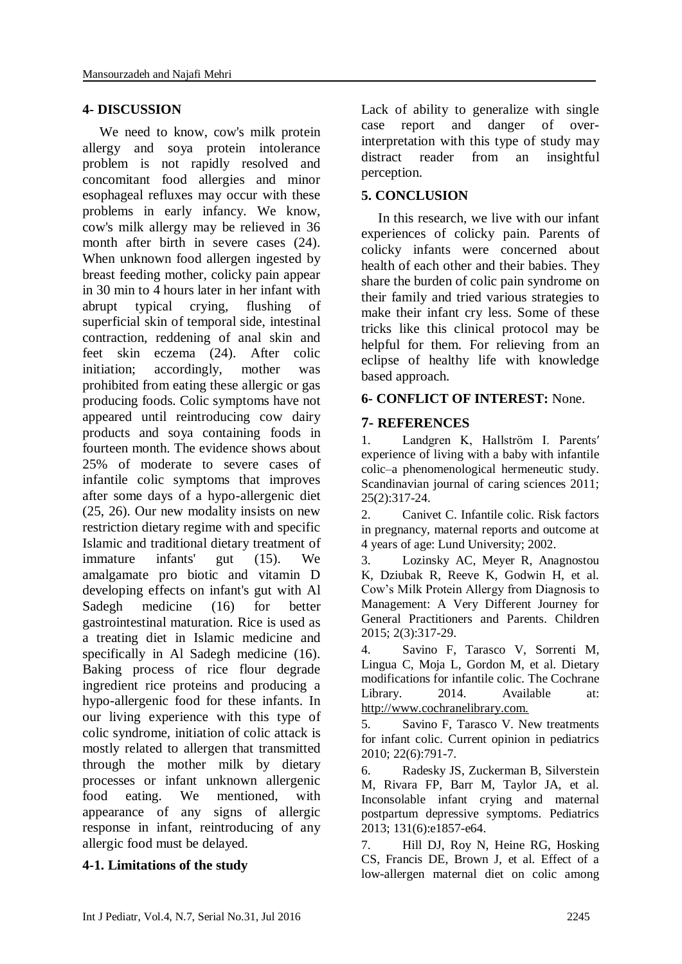### **4- DISCUSSION**

 We need to know, cow's milk protein allergy and soya protein intolerance problem is not rapidly resolved and concomitant food allergies and minor esophageal refluxes may occur with these problems in early infancy. We know, cow's milk allergy may be relieved in 36 month after birth in severe cases  $(24)$ . When unknown food allergen ingested by breast feeding mother, colicky pain appear in 30 min to 4 hours later in her infant with abrupt typical crying, flushing of superficial skin of temporal side, intestinal contraction, reddening of anal skin and feet skin eczema (24). After colic initiation; accordingly, mother was prohibited from eating these allergic or gas producing foods. Colic symptoms have not appeared until reintroducing cow dairy products and soya containing foods in fourteen month. The evidence shows about 25% of moderate to severe cases of infantile colic symptoms that improves after some days of a hypo-allergenic diet (25, 26). Our new modality insists on new restriction dietary regime with and specific Islamic and traditional dietary treatment of immature infants' gut (15). We amalgamate pro biotic and vitamin D developing effects on infant's gut with Al Sadegh medicine (16) for better gastrointestinal maturation. Rice is used as a treating diet in Islamic medicine and specifically in Al Sadegh medicine (16). Baking process of rice flour degrade ingredient rice proteins and producing a hypo-allergenic food for these infants. In our living experience with this type of colic syndrome, initiation of colic attack is mostly related to allergen that transmitted through the mother milk by dietary processes or infant unknown allergenic food eating. We mentioned, with appearance of any signs of allergic response in infant, reintroducing of any allergic food must be delayed.

#### **4-1. Limitations of the study**

Lack of ability to generalize with single case report and danger of overinterpretation with this type of study may distract reader from an insightful perception.

### **5. CONCLUSION**

 In this research, we live with our infant experiences of colicky pain. Parents of colicky infants were concerned about health of each other and their babies. They share the burden of colic pain syndrome on their family and tried various strategies to make their infant cry less. Some of these tricks like this clinical protocol may be helpful for them. For relieving from an eclipse of healthy life with knowledge based approach.

#### **6- CONFLICT OF INTEREST:** None.

## **7- REFERENCES**

1. Landgren K, Hallström I. Parents′ experience of living with a baby with infantile colic–a phenomenological hermeneutic study. Scandinavian journal of caring sciences 2011: 25(2):317-24.

2. Canivet C. Infantile colic. Risk factors in pregnancy, maternal reports and outcome at 4 years of age: Lund University; 2002.

3. Lozinsky AC, Meyer R, Anagnostou K, Dziubak R, Reeve K, Godwin H, et al. Cow's Milk Protein Allergy from Diagnosis to Management: A Very Different Journey for General Practitioners and Parents. Children 2015; 2(3):317-29.

4. Savino F, Tarasco V, Sorrenti M, Lingua C, Moja L, Gordon M, et al. Dietary modifications for infantile colic. The Cochrane Library. 2014. Available at: http://www.cochranelibrary.com.

5. Savino F, Tarasco V. New treatments for infant colic. Current opinion in pediatrics 2010; 22(6):791-7.

6. Radesky JS, Zuckerman B, Silverstein M, Rivara FP, Barr M, Taylor JA, et al. Inconsolable infant crying and maternal postpartum depressive symptoms. Pediatrics 2013; 131(6):e1857-e64.

7. Hill DJ, Roy N, Heine RG, Hosking CS, Francis DE, Brown J, et al. Effect of a low-allergen maternal diet on colic among